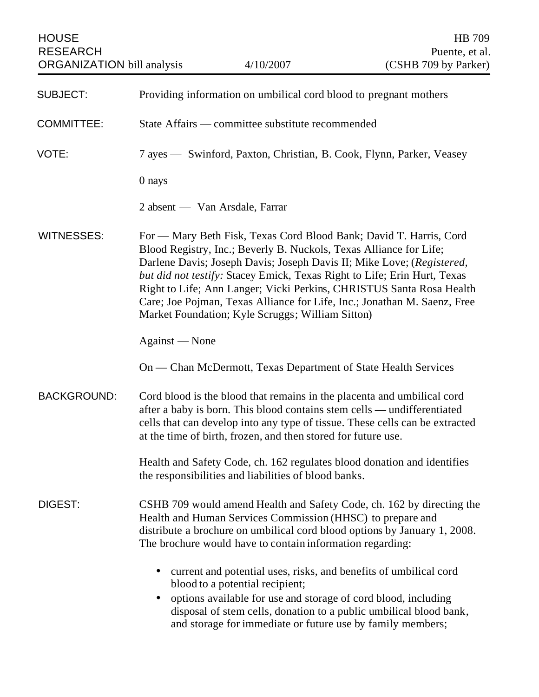| <b>HOUSE</b><br><b>RESEARCH</b><br><b>ORGANIZATION</b> bill analysis |                                                                                                                                                                                                                                                                                                                                                                                                                                                                                                       | 4/10/2007                                                                                                                    | HB 709<br>Puente, et al.<br>(CSHB 709 by Parker)                                                                                                   |
|----------------------------------------------------------------------|-------------------------------------------------------------------------------------------------------------------------------------------------------------------------------------------------------------------------------------------------------------------------------------------------------------------------------------------------------------------------------------------------------------------------------------------------------------------------------------------------------|------------------------------------------------------------------------------------------------------------------------------|----------------------------------------------------------------------------------------------------------------------------------------------------|
| <b>SUBJECT:</b>                                                      | Providing information on umbilical cord blood to pregnant mothers                                                                                                                                                                                                                                                                                                                                                                                                                                     |                                                                                                                              |                                                                                                                                                    |
| <b>COMMITTEE:</b>                                                    | State Affairs — committee substitute recommended                                                                                                                                                                                                                                                                                                                                                                                                                                                      |                                                                                                                              |                                                                                                                                                    |
| VOTE:                                                                | 7 ayes — Swinford, Paxton, Christian, B. Cook, Flynn, Parker, Veasey                                                                                                                                                                                                                                                                                                                                                                                                                                  |                                                                                                                              |                                                                                                                                                    |
|                                                                      | $0$ nays                                                                                                                                                                                                                                                                                                                                                                                                                                                                                              |                                                                                                                              |                                                                                                                                                    |
|                                                                      |                                                                                                                                                                                                                                                                                                                                                                                                                                                                                                       | 2 absent — Van Arsdale, Farrar                                                                                               |                                                                                                                                                    |
| <b>WITNESSES:</b>                                                    | For — Mary Beth Fisk, Texas Cord Blood Bank; David T. Harris, Cord<br>Blood Registry, Inc.; Beverly B. Nuckols, Texas Alliance for Life;<br>Darlene Davis; Joseph Davis; Joseph Davis II; Mike Love; (Registered,<br>but did not testify: Stacey Emick, Texas Right to Life; Erin Hurt, Texas<br>Right to Life; Ann Langer; Vicki Perkins, CHRISTUS Santa Rosa Health<br>Care; Joe Pojman, Texas Alliance for Life, Inc.; Jonathan M. Saenz, Free<br>Market Foundation; Kyle Scruggs; William Sitton) |                                                                                                                              |                                                                                                                                                    |
|                                                                      | Against — None                                                                                                                                                                                                                                                                                                                                                                                                                                                                                        |                                                                                                                              |                                                                                                                                                    |
|                                                                      |                                                                                                                                                                                                                                                                                                                                                                                                                                                                                                       | On — Chan McDermott, Texas Department of State Health Services                                                               |                                                                                                                                                    |
| <b>BACKGROUND:</b>                                                   | Cord blood is the blood that remains in the placenta and umbilical cord<br>after a baby is born. This blood contains stem cells — undifferentiated<br>cells that can develop into any type of tissue. These cells can be extracted<br>at the time of birth, frozen, and then stored for future use.                                                                                                                                                                                                   |                                                                                                                              |                                                                                                                                                    |
|                                                                      |                                                                                                                                                                                                                                                                                                                                                                                                                                                                                                       | the responsibilities and liabilities of blood banks.                                                                         | Health and Safety Code, ch. 162 regulates blood donation and identifies                                                                            |
| DIGEST:                                                              |                                                                                                                                                                                                                                                                                                                                                                                                                                                                                                       | Health and Human Services Commission (HHSC) to prepare and<br>The brochure would have to contain information regarding:      | CSHB 709 would amend Health and Safety Code, ch. 162 by directing the<br>distribute a brochure on umbilical cord blood options by January 1, 2008. |
|                                                                      |                                                                                                                                                                                                                                                                                                                                                                                                                                                                                                       | current and potential uses, risks, and benefits of umbilical cord<br>blood to a potential recipient;                         |                                                                                                                                                    |
|                                                                      |                                                                                                                                                                                                                                                                                                                                                                                                                                                                                                       | options available for use and storage of cord blood, including<br>and storage for immediate or future use by family members; | disposal of stem cells, donation to a public umbilical blood bank,                                                                                 |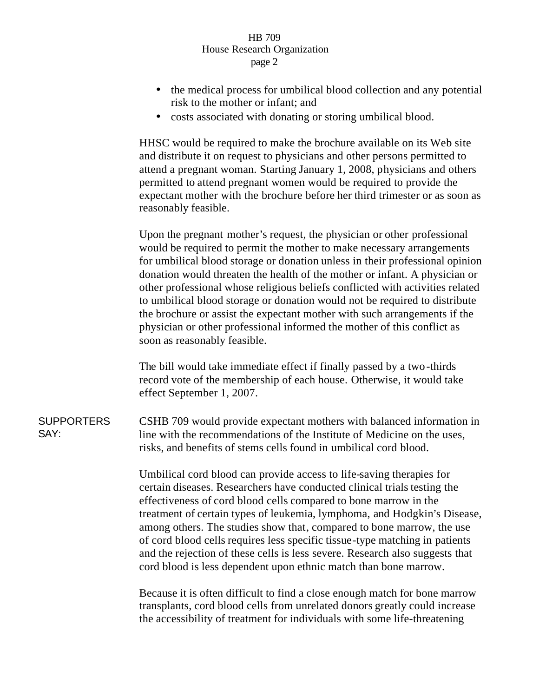## HB 709 House Research Organization page 2

- the medical process for umbilical blood collection and any potential risk to the mother or infant; and
- costs associated with donating or storing umbilical blood.

HHSC would be required to make the brochure available on its Web site and distribute it on request to physicians and other persons permitted to attend a pregnant woman. Starting January 1, 2008, physicians and others permitted to attend pregnant women would be required to provide the expectant mother with the brochure before her third trimester or as soon as reasonably feasible.

Upon the pregnant mother's request, the physician or other professional would be required to permit the mother to make necessary arrangements for umbilical blood storage or donation unless in their professional opinion donation would threaten the health of the mother or infant. A physician or other professional whose religious beliefs conflicted with activities related to umbilical blood storage or donation would not be required to distribute the brochure or assist the expectant mother with such arrangements if the physician or other professional informed the mother of this conflict as soon as reasonably feasible.

The bill would take immediate effect if finally passed by a two-thirds record vote of the membership of each house. Otherwise, it would take effect September 1, 2007.

**SUPPORTERS** CSHB 709 would provide expectant mothers with balanced information in line with the recommendations of the Institute of Medicine on the uses, risks, and benefits of stems cells found in umbilical cord blood.

> Umbilical cord blood can provide access to life-saving therapies for certain diseases. Researchers have conducted clinical trials testing the effectiveness of cord blood cells compared to bone marrow in the treatment of certain types of leukemia, lymphoma, and Hodgkin's Disease, among others. The studies show that, compared to bone marrow, the use of cord blood cells requires less specific tissue-type matching in patients and the rejection of these cells is less severe. Research also suggests that cord blood is less dependent upon ethnic match than bone marrow.

Because it is often difficult to find a close enough match for bone marrow transplants, cord blood cells from unrelated donors greatly could increase the accessibility of treatment for individuals with some life-threatening

## SAY: